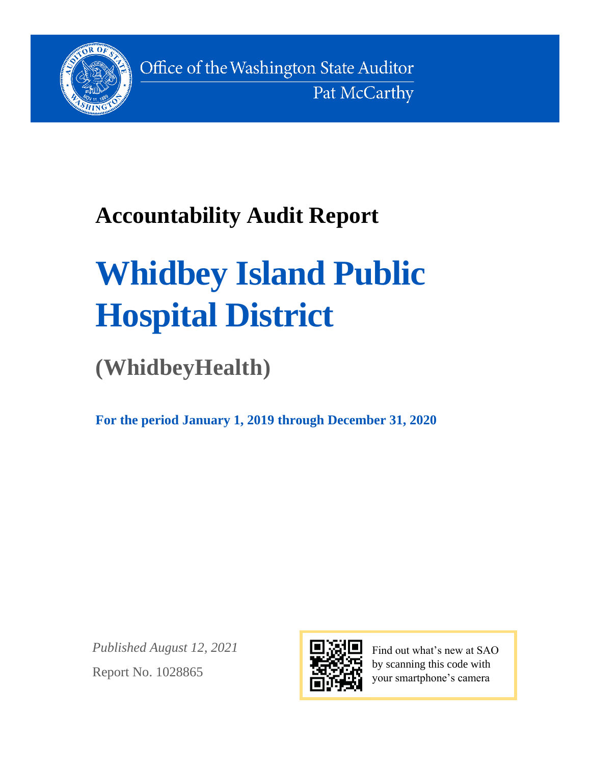

Office of the Washington State Auditor Pat McCarthy

# **Accountability Audit Report**

# **Whidbey Island Public Hospital District**

**(WhidbeyHealth)**

**For the period January 1, 2019 through December 31, 2020**

*Published August 12, 2021* Report No. 1028865



Find out what's new at SAO by scanning this code with your smartphone's camera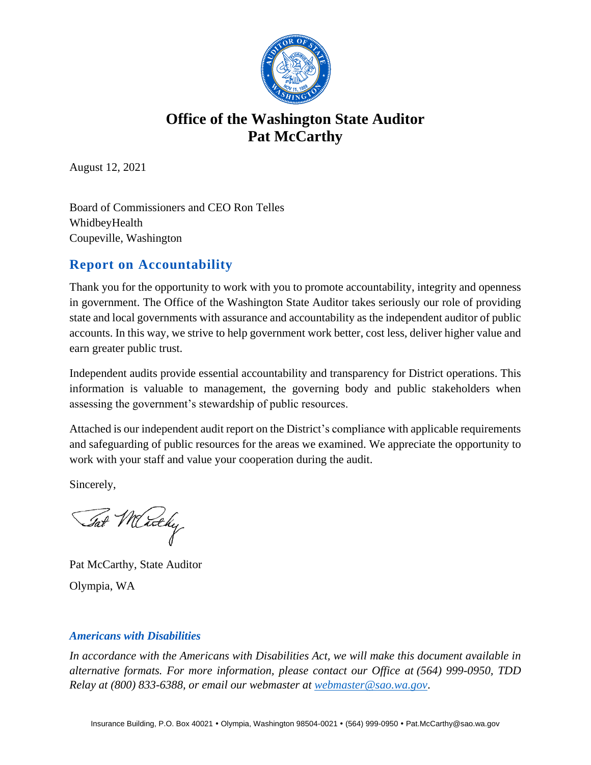

# **Office of the Washington State Auditor Pat McCarthy**

August 12, 2021

Board of Commissioners and CEO Ron Telles WhidbeyHealth Coupeville, Washington

# **Report on Accountability**

Thank you for the opportunity to work with you to promote accountability, integrity and openness in government. The Office of the Washington State Auditor takes seriously our role of providing state and local governments with assurance and accountability as the independent auditor of public accounts. In this way, we strive to help government work better, cost less, deliver higher value and earn greater public trust.

Independent audits provide essential accountability and transparency for District operations. This information is valuable to management, the governing body and public stakeholders when assessing the government's stewardship of public resources.

Attached is our independent audit report on the District's compliance with applicable requirements and safeguarding of public resources for the areas we examined. We appreciate the opportunity to work with your staff and value your cooperation during the audit.

Sincerely,

Tat Merchy

Pat McCarthy, State Auditor Olympia, WA

#### *Americans with Disabilities*

*In accordance with the Americans with Disabilities Act, we will make this document available in alternative formats. For more information, please contact our Office at (564) 999-0950, TDD Relay at (800) 833-6388, or email our webmaster at [webmaster@sao.wa.gov](mailto:webmaster@sao.wa.gov)*.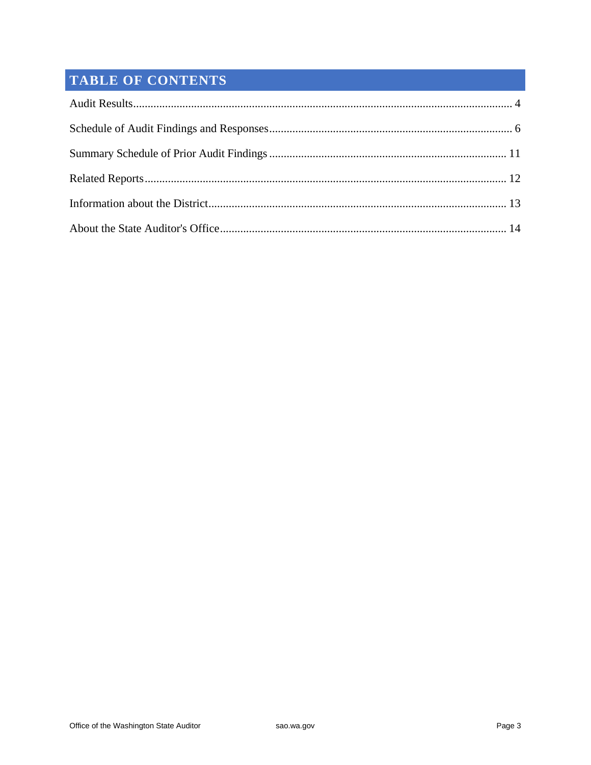# **TABLE OF CONTENTS**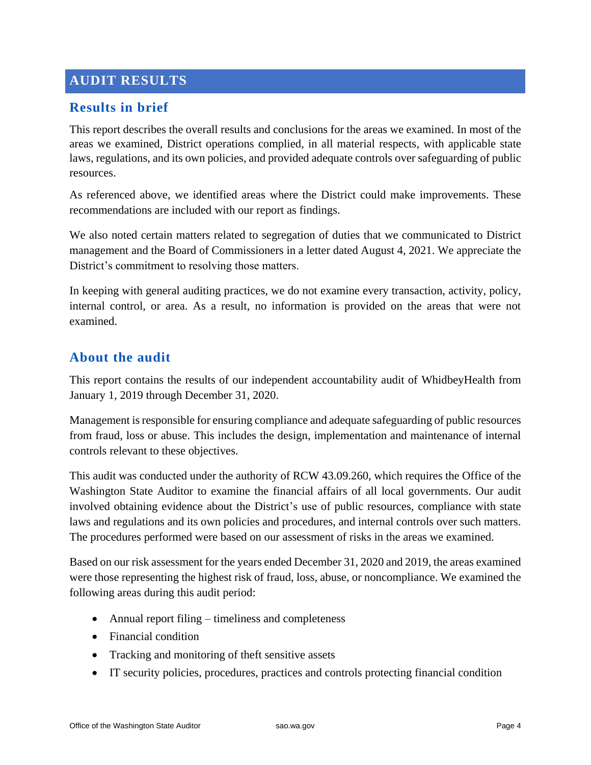# <span id="page-3-0"></span>**AUDIT RESULTS**

#### **Results in brief**

This report describes the overall results and conclusions for the areas we examined. In most of the areas we examined, District operations complied, in all material respects, with applicable state laws, regulations, and its own policies, and provided adequate controls over safeguarding of public resources.

As referenced above, we identified areas where the District could make improvements. These recommendations are included with our report as findings.

We also noted certain matters related to segregation of duties that we communicated to District management and the Board of Commissioners in a letter dated August 4, 2021. We appreciate the District's commitment to resolving those matters.

In keeping with general auditing practices, we do not examine every transaction, activity, policy, internal control, or area. As a result, no information is provided on the areas that were not examined.

#### **About the audit**

This report contains the results of our independent accountability audit of WhidbeyHealth from January 1, 2019 through December 31, 2020.

Management is responsible for ensuring compliance and adequate safeguarding of public resources from fraud, loss or abuse. This includes the design, implementation and maintenance of internal controls relevant to these objectives.

This audit was conducted under the authority of RCW 43.09.260, which requires the Office of the Washington State Auditor to examine the financial affairs of all local governments. Our audit involved obtaining evidence about the District's use of public resources, compliance with state laws and regulations and its own policies and procedures, and internal controls over such matters. The procedures performed were based on our assessment of risks in the areas we examined.

Based on our risk assessment for the years ended December 31, 2020 and 2019, the areas examined were those representing the highest risk of fraud, loss, abuse, or noncompliance. We examined the following areas during this audit period:

- Annual report filing timeliness and completeness
- Financial condition
- Tracking and monitoring of theft sensitive assets
- IT security policies, procedures, practices and controls protecting financial condition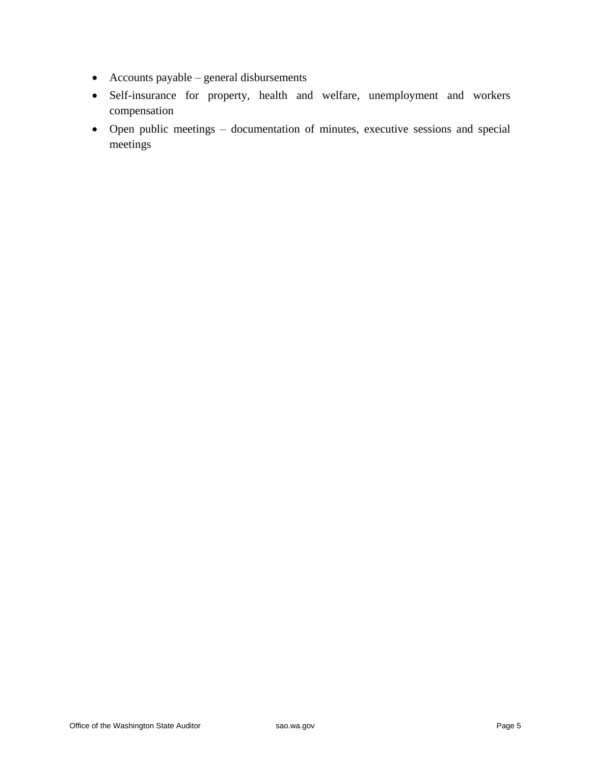- Accounts payable general disbursements
- Self-insurance for property, health and welfare, unemployment and workers compensation
- Open public meetings documentation of minutes, executive sessions and special meetings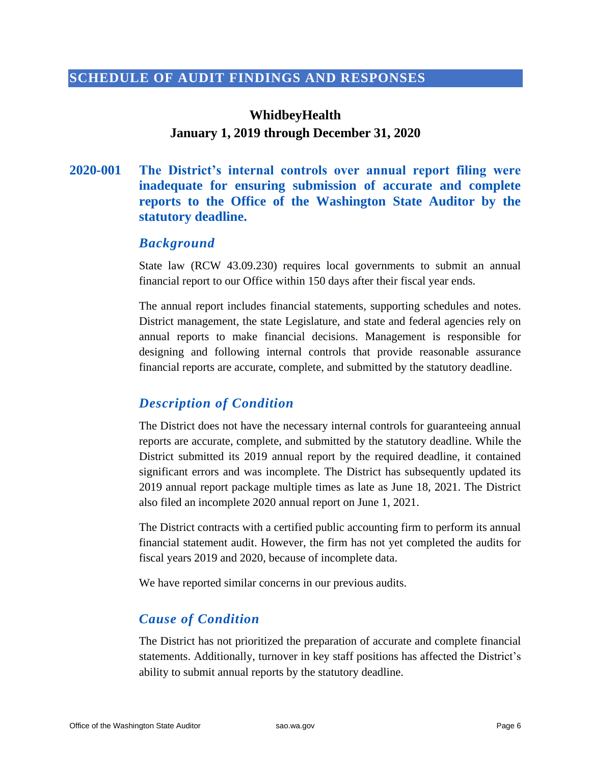#### **SCHEDULE OF AUDIT FINDINGS AND RESPONSES**

# <span id="page-5-0"></span>**WhidbeyHealth January 1, 2019 through December 31, 2020**

#### **2020-001 The District's internal controls over annual report filing were inadequate for ensuring submission of accurate and complete reports to the Office of the Washington State Auditor by the statutory deadline.**

#### *Background*

State law (RCW 43.09.230) requires local governments to submit an annual financial report to our Office within 150 days after their fiscal year ends.

The annual report includes financial statements, supporting schedules and notes. District management, the state Legislature, and state and federal agencies rely on annual reports to make financial decisions. Management is responsible for designing and following internal controls that provide reasonable assurance financial reports are accurate, complete, and submitted by the statutory deadline.

#### *Description of Condition*

The District does not have the necessary internal controls for guaranteeing annual reports are accurate, complete, and submitted by the statutory deadline. While the District submitted its 2019 annual report by the required deadline, it contained significant errors and was incomplete. The District has subsequently updated its 2019 annual report package multiple times as late as June 18, 2021. The District also filed an incomplete 2020 annual report on June 1, 2021.

The District contracts with a certified public accounting firm to perform its annual financial statement audit. However, the firm has not yet completed the audits for fiscal years 2019 and 2020, because of incomplete data.

We have reported similar concerns in our previous audits.

#### *Cause of Condition*

The District has not prioritized the preparation of accurate and complete financial statements. Additionally, turnover in key staff positions has affected the District's ability to submit annual reports by the statutory deadline.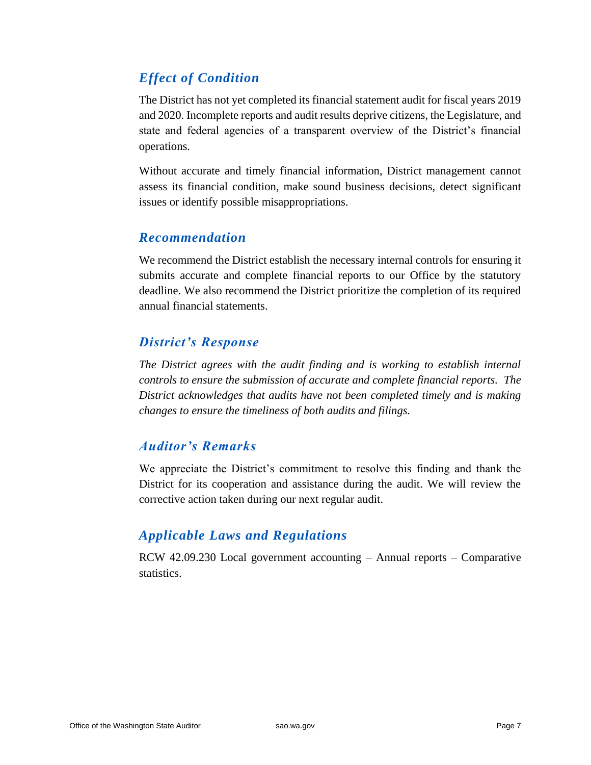# *Effect of Condition*

The District has not yet completed its financial statement audit for fiscal years 2019 and 2020. Incomplete reports and audit results deprive citizens, the Legislature, and state and federal agencies of a transparent overview of the District's financial operations.

Without accurate and timely financial information, District management cannot assess its financial condition, make sound business decisions, detect significant issues or identify possible misappropriations.

#### *Recommendation*

We recommend the District establish the necessary internal controls for ensuring it submits accurate and complete financial reports to our Office by the statutory deadline. We also recommend the District prioritize the completion of its required annual financial statements.

#### *District's Response*

*The District agrees with the audit finding and is working to establish internal controls to ensure the submission of accurate and complete financial reports. The District acknowledges that audits have not been completed timely and is making changes to ensure the timeliness of both audits and filings.* 

#### *Auditor's Remarks*

We appreciate the District's commitment to resolve this finding and thank the District for its cooperation and assistance during the audit. We will review the corrective action taken during our next regular audit.

#### *Applicable Laws and Regulations*

RCW 42.09.230 Local government accounting – Annual reports – Comparative statistics.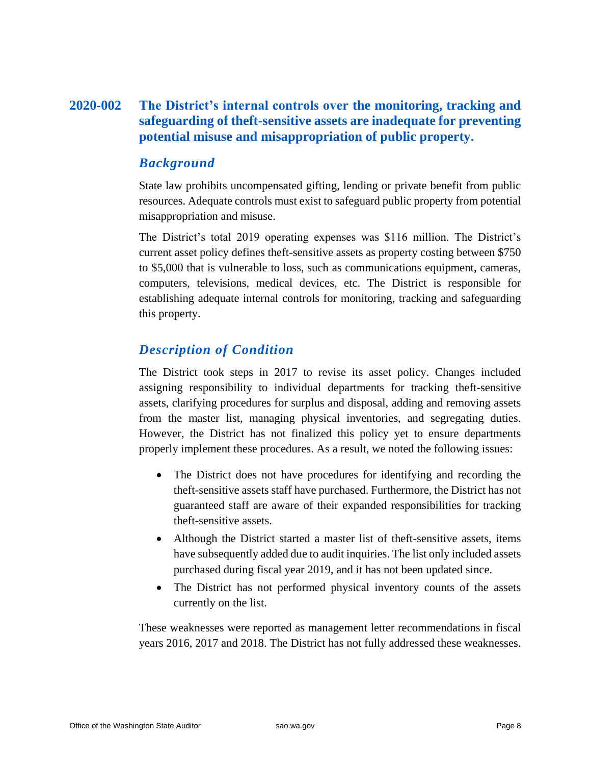#### **2020-002 The District's internal controls over the monitoring, tracking and safeguarding of theft-sensitive assets are inadequate for preventing potential misuse and misappropriation of public property.**

#### *Background*

State law prohibits uncompensated gifting, lending or private benefit from public resources. Adequate controls must exist to safeguard public property from potential misappropriation and misuse.

The District's total 2019 operating expenses was \$116 million. The District's current asset policy defines theft-sensitive assets as property costing between \$750 to \$5,000 that is vulnerable to loss, such as communications equipment, cameras, computers, televisions, medical devices, etc. The District is responsible for establishing adequate internal controls for monitoring, tracking and safeguarding this property.

#### *Description of Condition*

The District took steps in 2017 to revise its asset policy. Changes included assigning responsibility to individual departments for tracking theft-sensitive assets, clarifying procedures for surplus and disposal, adding and removing assets from the master list, managing physical inventories, and segregating duties. However, the District has not finalized this policy yet to ensure departments properly implement these procedures. As a result, we noted the following issues:

- The District does not have procedures for identifying and recording the theft-sensitive assets staff have purchased. Furthermore, the District has not guaranteed staff are aware of their expanded responsibilities for tracking theft-sensitive assets.
- Although the District started a master list of theft-sensitive assets, items have subsequently added due to audit inquiries. The list only included assets purchased during fiscal year 2019, and it has not been updated since.
- The District has not performed physical inventory counts of the assets currently on the list.

These weaknesses were reported as management letter recommendations in fiscal years 2016, 2017 and 2018. The District has not fully addressed these weaknesses.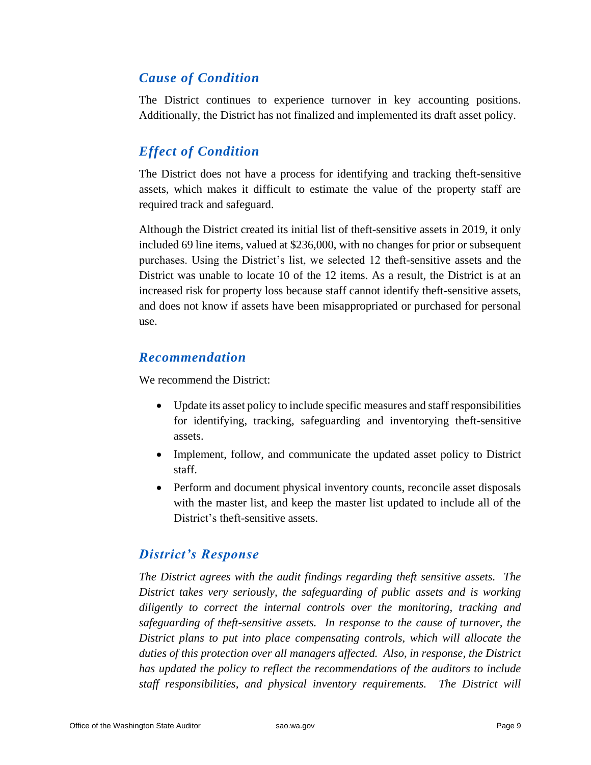#### *Cause of Condition*

The District continues to experience turnover in key accounting positions. Additionally, the District has not finalized and implemented its draft asset policy.

# *Effect of Condition*

The District does not have a process for identifying and tracking theft-sensitive assets, which makes it difficult to estimate the value of the property staff are required track and safeguard.

Although the District created its initial list of theft-sensitive assets in 2019, it only included 69 line items, valued at \$236,000, with no changes for prior or subsequent purchases. Using the District's list, we selected 12 theft-sensitive assets and the District was unable to locate 10 of the 12 items. As a result, the District is at an increased risk for property loss because staff cannot identify theft-sensitive assets, and does not know if assets have been misappropriated or purchased for personal use.

#### *Recommendation*

We recommend the District:

- Update its asset policy to include specific measures and staff responsibilities for identifying, tracking, safeguarding and inventorying theft-sensitive assets.
- Implement, follow, and communicate the updated asset policy to District staff.
- Perform and document physical inventory counts, reconcile asset disposals with the master list, and keep the master list updated to include all of the District's theft-sensitive assets.

# *District's Response*

*The District agrees with the audit findings regarding theft sensitive assets. The District takes very seriously, the safeguarding of public assets and is working diligently to correct the internal controls over the monitoring, tracking and safeguarding of theft-sensitive assets. In response to the cause of turnover, the District plans to put into place compensating controls, which will allocate the duties of this protection over all managers affected. Also, in response, the District has updated the policy to reflect the recommendations of the auditors to include staff responsibilities, and physical inventory requirements. The District will*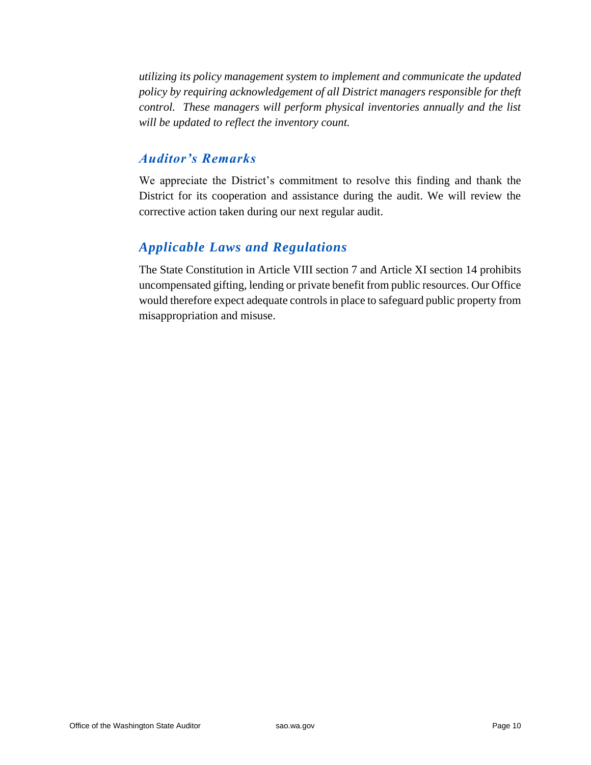*utilizing its policy management system to implement and communicate the updated policy by requiring acknowledgement of all District managers responsible for theft control. These managers will perform physical inventories annually and the list will be updated to reflect the inventory count.* 

#### *Auditor's Remarks*

We appreciate the District's commitment to resolve this finding and thank the District for its cooperation and assistance during the audit. We will review the corrective action taken during our next regular audit.

#### *Applicable Laws and Regulations*

The State Constitution in Article VIII section 7 and Article XI section 14 prohibits uncompensated gifting, lending or private benefit from public resources. Our Office would therefore expect adequate controls in place to safeguard public property from misappropriation and misuse.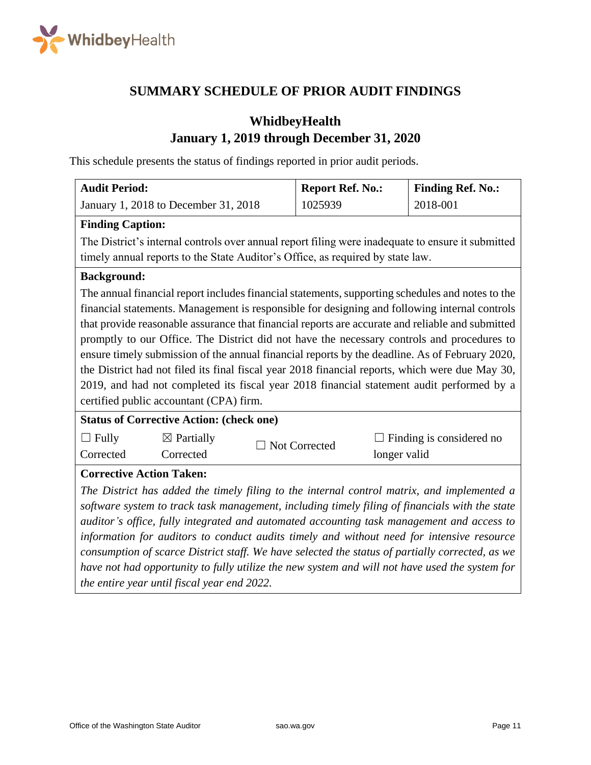

#### **SUMMARY SCHEDULE OF PRIOR AUDIT FINDINGS**

# <span id="page-10-0"></span>**WhidbeyHealth January 1, 2019 through December 31, 2020**

This schedule presents the status of findings reported in prior audit periods.

| <b>Audit Period:</b>                                                                              |                                                                                                 | <b>Report Ref. No.:</b> |              | <b>Finding Ref. No.:</b> |  |
|---------------------------------------------------------------------------------------------------|-------------------------------------------------------------------------------------------------|-------------------------|--------------|--------------------------|--|
|                                                                                                   | January 1, 2018 to December 31, 2018                                                            | 1025939                 |              | 2018-001                 |  |
| <b>Finding Caption:</b>                                                                           |                                                                                                 |                         |              |                          |  |
| The District's internal controls over annual report filing were inadequate to ensure it submitted |                                                                                                 |                         |              |                          |  |
| timely annual reports to the State Auditor's Office, as required by state law.                    |                                                                                                 |                         |              |                          |  |
| <b>Background:</b>                                                                                |                                                                                                 |                         |              |                          |  |
| The annual financial report includes financial statements, supporting schedules and notes to the  |                                                                                                 |                         |              |                          |  |
| financial statements. Management is responsible for designing and following internal controls     |                                                                                                 |                         |              |                          |  |
| that provide reasonable assurance that financial reports are accurate and reliable and submitted  |                                                                                                 |                         |              |                          |  |
| promptly to our Office. The District did not have the necessary controls and procedures to        |                                                                                                 |                         |              |                          |  |
| ensure timely submission of the annual financial reports by the deadline. As of February 2020,    |                                                                                                 |                         |              |                          |  |
|                                                                                                   | the District had not filed its final fiscal year 2018 financial reports, which were due May 30, |                         |              |                          |  |
| 2019, and had not completed its fiscal year 2018 financial statement audit performed by a         |                                                                                                 |                         |              |                          |  |
| certified public accountant (CPA) firm.                                                           |                                                                                                 |                         |              |                          |  |
| <b>Status of Corrective Action: (check one)</b>                                                   |                                                                                                 |                         |              |                          |  |
| $\Box$ Fully                                                                                      | $\boxtimes$ Partially                                                                           | Not Corrected           |              | Finding is considered no |  |
| Corrected                                                                                         | Corrected                                                                                       |                         | longer valid |                          |  |
| <b>Corrective Action Taken:</b>                                                                   |                                                                                                 |                         |              |                          |  |
| The District has added the timely filing to the internal control matrix, and implemented a        |                                                                                                 |                         |              |                          |  |
| software system to track task management, including timely filing of financials with the state    |                                                                                                 |                         |              |                          |  |
| auditor's office, fully integrated and automated accounting task management and access to         |                                                                                                 |                         |              |                          |  |
| information for auditors to conduct audits timely and without need for intensive resource         |                                                                                                 |                         |              |                          |  |
| consumption of scarce District staff. We have selected the status of partially corrected, as we   |                                                                                                 |                         |              |                          |  |
| have not had opportunity to fully utilize the new system and will not have used the system for    |                                                                                                 |                         |              |                          |  |
| the entire year until fiscal year end 2022.                                                       |                                                                                                 |                         |              |                          |  |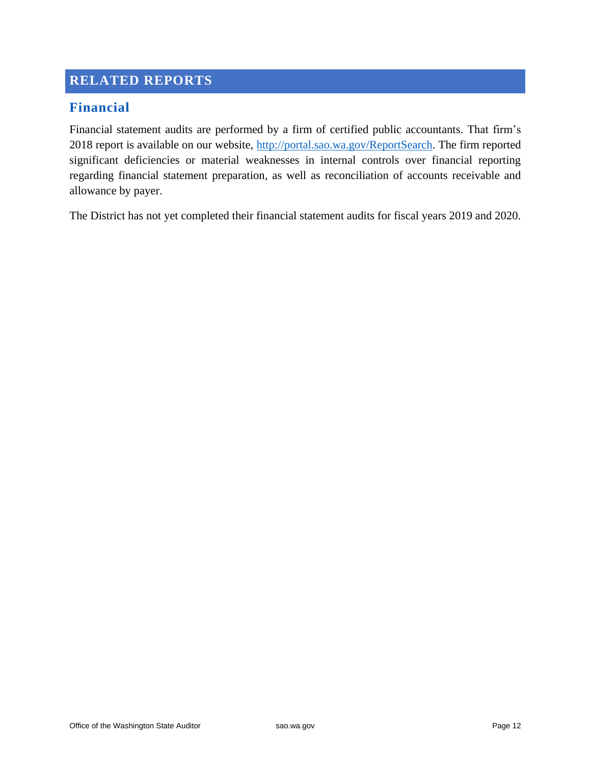### <span id="page-11-0"></span>**RELATED REPORTS**

#### **Financial**

Financial statement audits are performed by a firm of certified public accountants. That firm's 2018 report is available on our website, [http://portal.sao.wa.gov/ReportSearch.](http://portal.sao.wa.gov/ReportSearch) The firm reported significant deficiencies or material weaknesses in internal controls over financial reporting regarding financial statement preparation, as well as reconciliation of accounts receivable and allowance by payer.

The District has not yet completed their financial statement audits for fiscal years 2019 and 2020.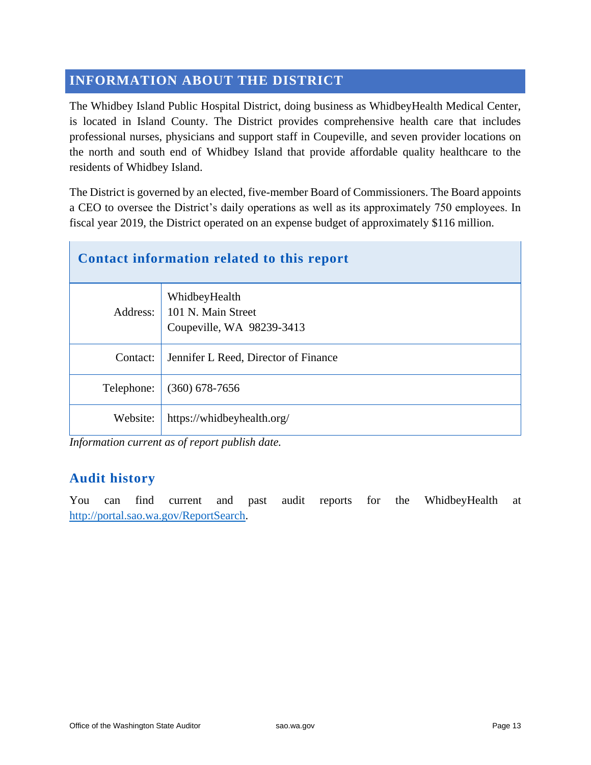# <span id="page-12-0"></span>**INFORMATION ABOUT THE DISTRICT**

The Whidbey Island Public Hospital District, doing business as WhidbeyHealth Medical Center, is located in Island County. The District provides comprehensive health care that includes professional nurses, physicians and support staff in Coupeville, and seven provider locations on the north and south end of Whidbey Island that provide affordable quality healthcare to the residents of Whidbey Island.

The District is governed by an elected, five-member Board of Commissioners. The Board appoints a CEO to oversee the District's daily operations as well as its approximately 750 employees. In fiscal year 2019, the District operated on an expense budget of approximately \$116 million.

| Contact information related to this report |                                                                  |  |  |  |
|--------------------------------------------|------------------------------------------------------------------|--|--|--|
| Address:                                   | WhidbeyHealth<br>101 N. Main Street<br>Coupeville, WA 98239-3413 |  |  |  |
| Contact:                                   | Jennifer L Reed, Director of Finance                             |  |  |  |
| Telephone:                                 | $(360)$ 678-7656                                                 |  |  |  |
| Website:                                   | https://whidbeyhealth.org/                                       |  |  |  |

*Information current as of report publish date.*

#### **Audit history**

You can find current and past audit reports for the WhidbeyHealth at [http://portal.sao.wa.gov/ReportSearch.](http://portal.sao.wa.gov/ReportSearch/?qItemType=1&qItemDesc=Whidbey%20Island%20Public%20Hospital%20District&qItemValue=1466)